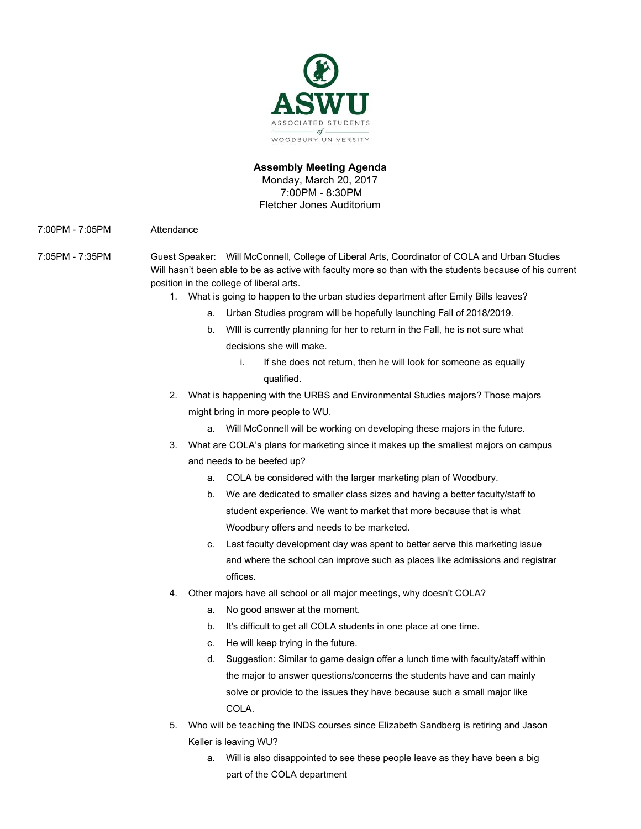

### **Assembly Meeting Agenda** Monday, March 20, 2017 7:00PM - 8:30PM Fletcher Jones Auditorium

7:00PM - 7:05PM Attendance

- 7:05PM 7:35PM Guest Speaker: Will McConnell, College of Liberal Arts, Coordinator of COLA and Urban Studies Will hasn't been able to be as active with faculty more so than with the students because of his current position in the college of liberal arts.
	- 1. What is going to happen to the urban studies department after Emily Bills leaves?
		- a. Urban Studies program will be hopefully launching Fall of 2018/2019.
		- b. WIll is currently planning for her to return in the Fall, he is not sure what decisions she will make.
			- i. If she does not return, then he will look for someone as equally qualified.
	- 2. What is happening with the URBS and Environmental Studies majors? Those majors might bring in more people to WU.
		- a. Will McConnell will be working on developing these majors in the future.
	- 3. What are COLA's plans for marketing since it makes up the smallest majors on campus and needs to be beefed up?
		- a. COLA be considered with the larger marketing plan of Woodbury.
		- b. We are dedicated to smaller class sizes and having a better faculty/staff to student experience. We want to market that more because that is what Woodbury offers and needs to be marketed.
		- c. Last faculty development day was spent to better serve this marketing issue and where the school can improve such as places like admissions and registrar offices.
	- 4. Other majors have all school or all major meetings, why doesn't COLA?
		- a. No good answer at the moment.
		- b. It's difficult to get all COLA students in one place at one time.
		- c. He will keep trying in the future.
		- d. Suggestion: Similar to game design offer a lunch time with faculty/staff within the major to answer questions/concerns the students have and can mainly solve or provide to the issues they have because such a small major like COLA.
	- 5. Who will be teaching the INDS courses since Elizabeth Sandberg is retiring and Jason Keller is leaving WU?
		- a. Will is also disappointed to see these people leave as they have been a big part of the COLA department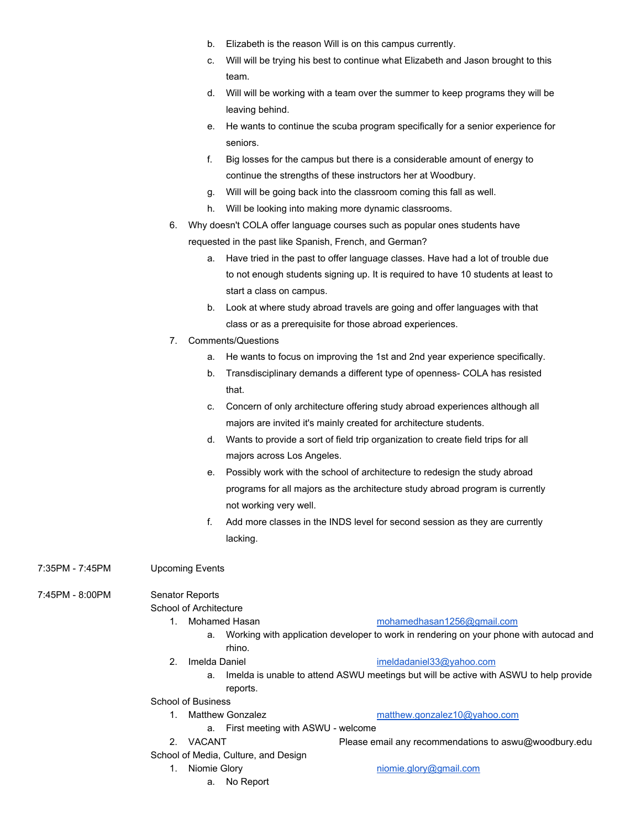- b. Elizabeth is the reason Will is on this campus currently.
- c. Will will be trying his best to continue what Elizabeth and Jason brought to this team.
- d. Will will be working with a team over the summer to keep programs they will be leaving behind.
- e. He wants to continue the scuba program specifically for a senior experience for seniors.
- f. Big losses for the campus but there is a considerable amount of energy to continue the strengths of these instructors her at Woodbury.
- g. Will will be going back into the classroom coming this fall as well.
- h. Will be looking into making more dynamic classrooms.
- 6. Why doesn't COLA offer language courses such as popular ones students have requested in the past like Spanish, French, and German?
	- a. Have tried in the past to offer language classes. Have had a lot of trouble due to not enough students signing up. It is required to have 10 students at least to start a class on campus.
	- b. Look at where study abroad travels are going and offer languages with that class or as a prerequisite for those abroad experiences.
- 7. Comments/Questions
	- a. He wants to focus on improving the 1st and 2nd year experience specifically.
	- b. Transdisciplinary demands a different type of openness- COLA has resisted that.
	- c. Concern of only architecture offering study abroad experiences although all majors are invited it's mainly created for architecture students.
	- d. Wants to provide a sort of field trip organization to create field trips for all majors across Los Angeles.
	- e. Possibly work with the school of architecture to redesign the study abroad programs for all majors as the architecture study abroad program is currently not working very well.
	- f. Add more classes in the INDS level for second session as they are currently lacking.

7:35PM - 7:45PM Upcoming Events

7:45PM - 8:00PM Senator Reports

School of Architecture

- 1. Mohamed Hasan [mohamedhasan1256@gmail.com](mailto:mohamedhasan1256@gmail.com)
	- a. Working with application developer to work in rendering on your phone with autocad and rhino.
- 2. Imelda Daniel imeloadaniel33@yahoo.com
	- a. Imelda is unable to attend ASWU meetings but will be active with ASWU to help provide reports.

School of Business

- 1. Matthew Gonzalez [matthew.gonzalez10@yahoo.com](mailto:matthew.gonzalez10@yahoo.com) a. First meeting with ASWU - welcome
- 
- School of Media, Culture, and Design
	- - a. No Report

2. VACANT Please email any recommendations to aswu@woodbury.edu

1. Niomie Glory **[niomie.glory@gmail.com](mailto:niomie.glory@gmail.com)**